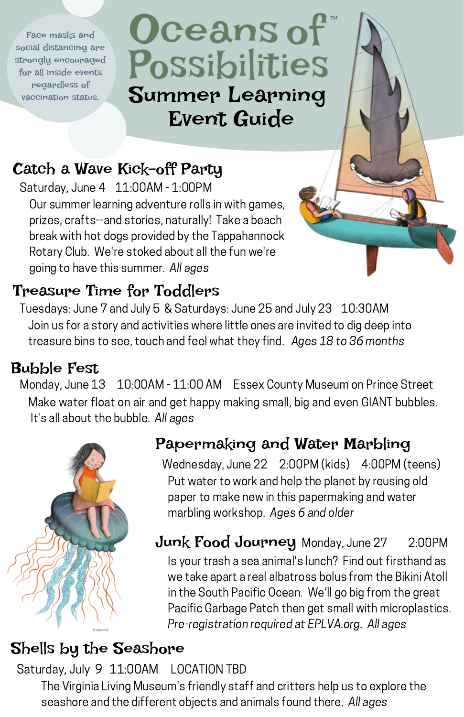Face masks and social distancing are strongly encouraged for all inside events regardless of vaccination status.

Oceans of Possibilities Summer Learning Event Guide

# Catch a Wave Kick-off Party

Saturday, June 4 11:00AM - 1:00PM

Our summer learning adventure rolls in with games, prizes, crafts--and stories, naturally! Take a beach break with hot dogs provided by the Tappahannock Rotary Club. We're stoked about all the fun we're going to have this summer. All ages

## Treasure Time for Toddlers

Tuesdays: June 7 and July 5 & Saturdays: June 25 and July 23 10:30AM Join us for a story and activities where little ones are invited to dig deep into treasure bins to see, touch and feel what they find. Ages 18 to 36 months

#### Bubble Fest

Make water float on air and get happy making small, big and even GIANT bubbles. It's all about the bubble. All ages Monday, June 13 10:00AM - 11:00 AM Essex County Museum on Prince Street



#### Papermaking and Water Marbling

Put water to work and help the planet by reusing old paper to make new in this papermaking and water marbling workshop. Ages 6 and older Wednesday, June 22 2:00PM (kids) 4:00PM (teens)

Is your trash a sea animal's lunch? Find out firsthand as we take apart a real albatross bolus from the Bikini Atoll in the South Pacific Ocean. We'll go big from the great Pacific Garbage Patch then get small with microplastics. Pre-registration required at EPLVA.org. All ages **Junk Food Journey** Monday, June 27 2:00PM

#### Shells by the Seashore

Saturday, July 9 11:00AM LOCATION TBD

The Virginia Living Museum's friendly staff and critters help us to explore the seashore and the different objects and animals found there. All ages